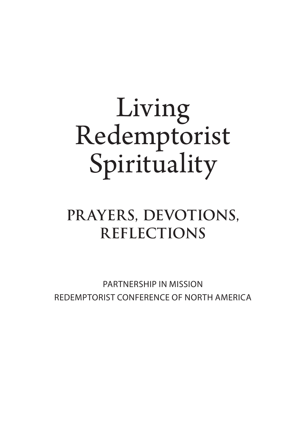# Living Redemptorist Spirituality

# **Prayers, Devotions, Reflections**

PARTNERSHIP IN MISSION REDEMPTORIST CONFERENCE OF NORTH AMERICA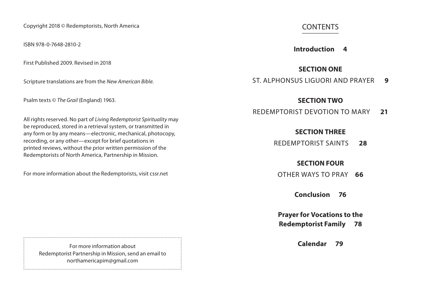Copyright 2018 © Redemptorists, North America

ISBN 978-0-7648-2810-2

First Published 2009. Revised in 2018

Scripture translations are from the *New American Bible.*

Psalm texts © *The Grail* (England) 1963.

All rights reserved. No part of *Living Redemptorist Spirituality* may be reproduced, stored in a retrieval system, or transmitted in any form or by any means—electronic, mechanical, photocopy, recording, or any other—except for brief quotations in printed reviews, without the prior written permission of the Redemptorists of North America, Partnership in Mission.

For more information about the Redemptorists, visit cssr.net

CONTENTS

**Introduction 4**

#### **SECTION ONE**

ST. ALPHONSUS LIGUORI AND PRAYER **9**

#### **SECTION TWO**

REDEMPTORIST DEVOTION TO MARY **21**

#### **SECTION THREE**

REDEMPTORIST SAINTS **28**

**SECTION FOUR**

OTHER WAYS TO PRAY **66**

**Conclusion 76**

**Prayer for Vocations to the Redemptorist Family 78**

**Calendar 79**

For more information about Redemptorist Partnership in Mission, send an email to northamericapim@gmail.com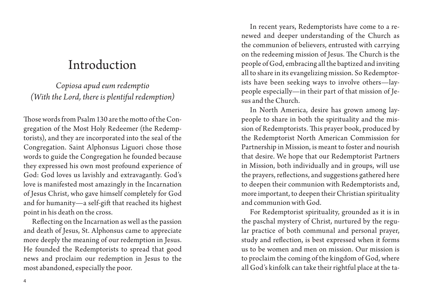# Introduction

*Copiosa apud eum redemptio (With the Lord, there is plentiful redemption)*

Those words from Psalm 130 are the motto of the Congregation of the Most Holy Redeemer (the Redemptorists), and they are incorporated into the seal of the Congregation. Saint Alphonsus Liguori chose those words to guide the Congregation he founded because they expressed his own most profound experience of God: God loves us lavishly and extravagantly. God's love is manifested most amazingly in the Incarnation of Jesus Christ, who gave himself completely for God and for humanity—a self-gift that reached its highest point in his death on the cross.

Reflecting on the Incarnation as well as the passion and death of Jesus, St. Alphonsus came to appreciate more deeply the meaning of our redemption in Jesus. He founded the Redemptorists to spread that good news and proclaim our redemption in Jesus to the most abandoned, especially the poor.

In recent years, Redemptorists have come to a renewed and deeper understanding of the Church as the communion of believers, entrusted with carrying on the redeeming mission of Jesus. The Church is the people of God, embracing all the baptized and inviting all to share in its evangelizing mission. So Redemptorists have been seeking ways to involve others—laypeople especially—in their part of that mission of Jesus and the Church.

In North America, desire has grown among laypeople to share in both the spirituality and the mission of Redemptorists. This prayer book, produced by the Redemptorist North American Commission for Partnership in Mission, is meant to foster and nourish that desire. We hope that our Redemptorist Partners in Mission, both individually and in groups, will use the prayers, reflections, and suggestions gathered here to deepen their communion with Redemptorists and, more important, to deepen their Christian spirituality and communion with God.

For Redemptorist spirituality, grounded as it is in the paschal mystery of Christ, nurtured by the regular practice of both communal and personal prayer, study and reflection, is best expressed when it forms us to be women and men on mission. Our mission is to proclaim the coming of the kingdom of God, where all God's kinfolk can take their rightful place at the ta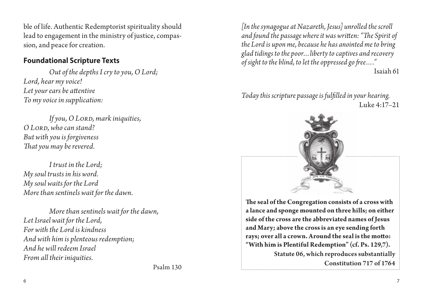ble of life. Authentic Redemptorist spirituality should lead to engagement in the ministry of justice, compassion, and peace for creation.

# **Foundational Scripture Texts**

*Out of the depths I cry to you, O Lord; Lord, hear my voice! Let your ears be attentive To my voice in supplication:*

*If you, O Lord, mark iniquities, O Lord, who can stand? But with you is forgiveness That you may be revered.*

*I trust in the Lord; My soul trusts in his word. My soul waits for the Lord More than sentinels wait for the dawn.*

*More than sentinels wait for the dawn, Let Israel wait for the Lord, For with the Lord is kindness And with him is plenteous redemption; And he will redeem Israel From all their iniquities.* 

Psalm 130

*[In the synagogue at Nazareth, Jesus] unrolled the scroll and found the passage where it was written: "The Spirit of the Lord is upon me, because he has anointed me to bring glad tidings to the poor…liberty to captives and recovery of sight to the blind, to let the oppressed go free…."*

Isaiah 61

*Today this scripture passage is fulfilled in your hearing.* Luke 4:17–21



**The seal of the Congregation consists of a cross with a lance and sponge mounted on three hills; on either side of the cross are the abbreviated names of Jesus and Mary; above the cross is an eye sending forth rays; over all a crown. Around the seal is the motto: "With him is Plentiful Redemption" (cf. Ps. 129,7).** Statute 06, which reproduces substantially Constitution 717 of 1764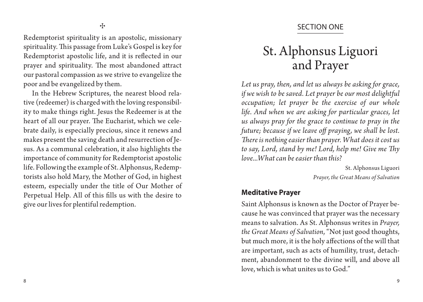Redemptorist spirituality is an apostolic, missionary spirituality. This passage from Luke's Gospel is key for Redemptorist apostolic life, and it is reflected in our prayer and spirituality. The most abandoned attract our pastoral compassion as we strive to evangelize the poor and be evangelized by them.

In the Hebrew Scriptures, the nearest blood relative (redeemer) is charged with the loving responsibility to make things right. Jesus the Redeemer is at the heart of all our prayer. The Eucharist, which we celebrate daily, is especially precious, since it renews and makes present the saving death and resurrection of Jesus. As a communal celebration, it also highlights the importance of community for Redemptorist apostolic life. Following the example of St. Alphonsus, Redemptorists also hold Mary, the Mother of God, in highest esteem, especially under the title of Our Mother of Perpetual Help. All of this fills us with the desire to give our lives for plentiful redemption.

# St. Alphonsus Liguori and Prayer

*Let us pray, then, and let us always be asking for grace, if we wish to be saved. Let prayer be our most delightful occupation; let prayer be the exercise of our whole life. And when we are asking for particular graces, let us always pray for the grace to continue to pray in the future; because if we leave off praying, we shall be lost. There is nothing easier than prayer. What does it cost us to say, Lord, stand by me! Lord, help me! Give me Thy love.* What can be easier than this?

> St. Alphonsus Liguori *Prayer, the Great Means of Salvation*

# **Meditative Prayer**

Saint Alphonsus is known as the Doctor of Prayer because he was convinced that prayer was the necessary means to salvation. As St. Alphonsus writes in *Prayer, the Great Means of Salvation*, "Not just good thoughts, but much more, it is the holy affections of the will that are important, such as acts of humility, trust, detachment, abandonment to the divine will, and above all love, which is what unites us to God."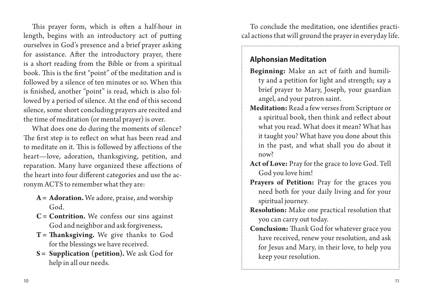This prayer form, which is often a half-hour in length, begins with an introductory act of putting ourselves in God's presence and a brief prayer asking for assistance. After the introductory prayer, there is a short reading from the Bible or from a spiritual book. This is the first "point" of the meditation and is followed by a silence of ten minutes or so. When this is finished, another "point" is read, which is also followed by a period of silence. At the end of this second silence, some short concluding prayers are recited and the time of meditation (or mental prayer) is over.

What does one do during the moments of silence? The first step is to reflect on what has been read and to meditate on it. This is followed by affections of the heart—love, adoration, thanksgiving, petition, and reparation. Many have organized these affections of the heart into four different categories and use the acronym ACTS to remember what they are:

- **A = Adoration.** We adore, praise, and worship God.
- **C = Contrition.** We confess our sins against God and neighbor and ask forgiveness**.**
- **T = Thanksgiving.** We give thanks to God for the blessings we have received.
- **S = Supplication (petition).** We ask God for help in all our needs.

To conclude the meditation, one identifies practical actions that will ground the prayer in everyday life. 

**Alphonsian Meditation**

- **Beginning:** Make an act of faith and humility and a petition for light and strength; say a brief prayer to Mary, Joseph, your guardian angel, and your patron saint.
- **Meditation:** Read a few verses from Scripture or a spiritual book, then think and reflect about what you read. What does it mean? What has it taught you? What have you done about this in the past, and what shall you do about it now?
- **Act of Love:** Pray for the grace to love God. Tell God you love him!
- **Prayers of Petition:** Pray for the graces you need both for your daily living and for your spiritual journey.
- **Resolution:** Make one practical resolution that you can carry out today.
- **Conclusion:** Thank God for whatever grace you have received, renew your resolution, and ask for Jesus and Mary, in their love, to help you keep your resolution.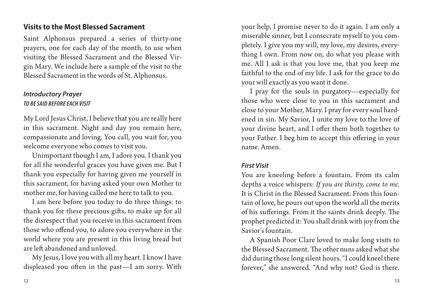# **Visits to the Most Blessed Sacrament**

Saint Alphonsus prepared a series of thirty-one prayers, one for each day of the month, to use when visiting the Blessed Sacrament and the Blessed Virgin Mary. We include here a sample of the visit to the Blessed Sacrament in the words of St. Alphonsus.

#### *Introductory Prayer TO BE SAID BEFORE EACH VISIT*

My Lord Jesus Christ, I believe that you are really here in this sacrament. Night and day you remain here, compassionate and loving. You call, you wait for, you welcome everyone who comes to visit you.

Unimportant though I am, I adore you. I thank you for all the wonderful graces you have given me. But I thank you especially for having given me yourself in this sacrament, for having asked your own Mother to mother me, for having called me here to talk to you.

I am here before you today to do three things: to thank you for these precious gifts, to make up for all the disrespect that you receive in this sacrament from those who offend you, to adore you everywhere in the world where you are present in this living bread but are left abandoned and unloved.

My Jesus, I love you with all my heart. I know I have displeased you often in the past—I am sorry. With your help, I promise never to do it again. I am only a miserable sinner, but I consecrate myself to you completely. I give you my will, my love, my desires, everything I own. From now on, do what you please with me. All I ask is that you love me, that you keep me faithful to the end of my life. I ask for the grace to do your will exactly as you want it done.

I pray for the souls in purgatory—especially for those who were close to you in this sacrament and close to your Mother, Mary. I pray for every soul hardened in sin. My Savior, I unite my love to the love of your divine heart, and I offer them both together to your Father. I beg him to accept this offering in your name. Amen.

#### *First Visit*

You are kneeling before a fountain. From its calm depths a voice whispers: *If you are thirsty, come to me.* It is Christ in the Blessed Sacrament. From this fountain of love, he pours out upon the world all the merits of his sufferings. From it the saints drink deeply. The prophet predicted it: You shall drink with joy from the Savior's fountain.

A Spanish Poor Clare loved to make long visits to the Blessed Sacrament. The other nuns asked what she did during those long silent hours. "I could kneel there forever," she answered. "And why not? God is there.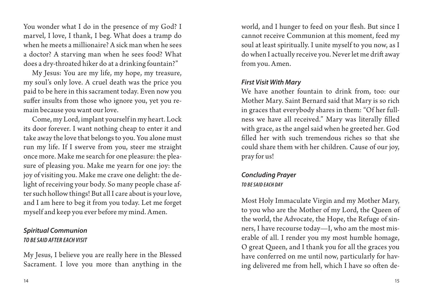You wonder what I do in the presence of my God? I marvel, I love, I thank, I beg. What does a tramp do when he meets a millionaire? A sick man when he sees a doctor? A starving man when he sees food? What does a dry-throated hiker do at a drinking fountain?"

My Jesus: You are my life, my hope, my treasure, my soul's only love. A cruel death was the price you paid to be here in this sacrament today. Even now you suffer insults from those who ignore you, yet you remain because you want our love.

Come, my Lord, implant yourself in my heart. Lock its door forever. I want nothing cheap to enter it and take away the love that belongs to you. You alone must run my life. If I swerve from you, steer me straight once more. Make me search for one pleasure: the pleasure of pleasing you. Make me yearn for one joy: the joy of visiting you. Make me crave one delight: the delight of receiving your body. So many people chase after such hollow things! But all I care about is your love, and I am here to beg it from you today. Let me forget myself and keep you ever before my mind. Amen.

#### *Spiritual Communion TO BE SAID AFTER EACH VISIT*

My Jesus, I believe you are really here in the Blessed Sacrament. I love you more than anything in the world, and I hunger to feed on your flesh. But since I cannot receive Communion at this moment, feed my soul at least spiritually. I unite myself to you now, as I do when I actually receive you. Never let me drift away from you. Amen.

#### *First Visit With Mary*

We have another fountain to drink from, too: our Mother Mary. Saint Bernard said that Mary is so rich in graces that everybody shares in them: "Of her fullness we have all received." Mary was literally filled with grace, as the angel said when he greeted her. God filled her with such tremendous riches so that she could share them with her children. Cause of our joy, pray for us!

# *Concluding Prayer TO BE SAID EACH DAY*

Most Holy Immaculate Virgin and my Mother Mary, to you who are the Mother of my Lord, the Queen of the world, the Advocate, the Hope, the Refuge of sinners, I have recourse today—I, who am the most miserable of all. I render you my most humble homage, O great Queen, and I thank you for all the graces you have conferred on me until now, particularly for having delivered me from hell, which I have so often de-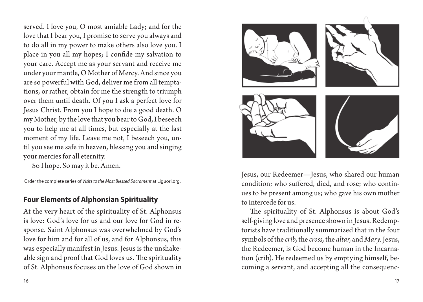served. I love you, O most amiable Lady; and for the love that I bear you, I promise to serve you always and to do all in my power to make others also love you. I place in you all my hopes; I confide my salvation to your care. Accept me as your servant and receive me under your mantle, O Mother of Mercy. And since you are so powerful with God, deliver me from all temptations, or rather, obtain for me the strength to triumph over them until death. Of you I ask a perfect love for Jesus Christ. From you I hope to die a good death. O my Mother, by the love that you bear to God, I beseech you to help me at all times, but especially at the last moment of my life. Leave me not, I beseech you, until you see me safe in heaven, blessing you and singing your mercies for all eternity.

So I hope. So may it be. Amen.

Order the complete series of *Visits to the Most Blessed Sacrament* at Liguori.org.

# **Four Elements of Alphonsian Spirituality**

At the very heart of the spirituality of St. Alphonsus is love: God's love for us and our love for God in response. Saint Alphonsus was overwhelmed by God's love for him and for all of us, and for Alphonsus, this was especially manifest in Jesus. Jesus is the unshakeable sign and proof that God loves us. The spirituality of St. Alphonsus focuses on the love of God shown in



Jesus, our Redeemer—Jesus, who shared our human condition; who suffered, died, and rose; who continues to be present among us; who gave his own mother to intercede for us.

The spirituality of St. Alphonsus is about God's self-giving love and presence shown in Jesus. Redemptorists have traditionally summarized that in the four symbols of the *crib,* the *cross,* the *altar,* and *Mary.* Jesus, the Redeemer, is God become human in the Incarnation (crib). He redeemed us by emptying himself, becoming a servant, and accepting all the consequenc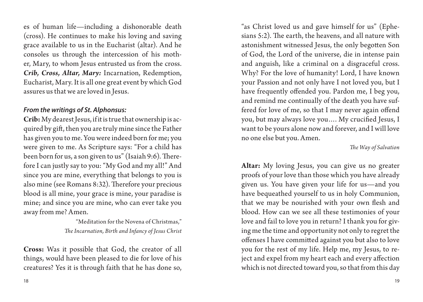es of human life—including a dishonorable death (cross). He continues to make his loving and saving grace available to us in the Eucharist (altar). And he consoles us through the intercession of his mother, Mary, to whom Jesus entrusted us from the cross. *Crib, Cross, Altar, Mary:* Incarnation, Redemption, Eucharist, Mary. It is all one great event by which God assures us that we are loved in Jesus.

#### *From the writings of St. Alphonsus:*

**Crib:** My dearest Jesus, if it is true that ownership is acquired by gift, then you are truly mine since the Father has given you to me. You were indeed born for me; you were given to me. As Scripture says: "For a child has been born for us, a son given to us" (Isaiah 9:6). Therefore I can justly say to you: "My God and my all!" And since you are mine, everything that belongs to you is also mine (see Romans 8:32). Therefore your precious blood is all mine, your grace is mine, your paradise is mine; and since you are mine, who can ever take you away from me? Amen.

> "Meditation for the Novena of Christmas," *The Incarnation, Birth and Infancy of Jesus Christ*

**Cross:** Was it possible that God, the creator of all things, would have been pleased to die for love of his creatures? Yes it is through faith that he has done so, "as Christ loved us and gave himself for us" (Ephesians 5:2). The earth, the heavens, and all nature with astonishment witnessed Jesus, the only begotten Son of God, the Lord of the universe, die in intense pain and anguish, like a criminal on a disgraceful cross. Why? For the love of humanity! Lord, I have known your Passion and not only have I not loved you, but I have frequently offended you. Pardon me, I beg you, and remind me continually of the death you have suffered for love of me, so that I may never again offend you, but may always love you…. My crucified Jesus, I want to be yours alone now and forever, and I will love no one else but you. Amen.

#### *The Way of Salvation*

**Altar:** My loving Jesus, you can give us no greater proofs of your love than those which you have already given us. You have given your life for us—and you have bequeathed yourself to us in holy Communion, that we may be nourished with your own flesh and blood. How can we see all these testimonies of your love and fail to love you in return? I thank you for giving me the time and opportunity not only to regret the offenses I have committed against you but also to love you for the rest of my life. Help me, my Jesus, to reject and expel from my heart each and every affection which is not directed toward you, so that from this day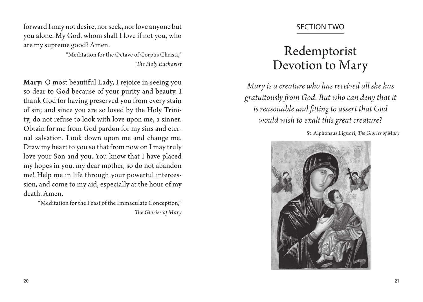forward I may not desire, nor seek, nor love anyone but you alone. My God, whom shall I love if not you, who are my supreme good? Amen.

> "Meditation for the Octave of Corpus Christi," *The Holy Eucharist*

**Mary:** O most beautiful Lady, I rejoice in seeing you so dear to God because of your purity and beauty. I thank God for having preserved you from every stain of sin; and since you are so loved by the Holy Trinity, do not refuse to look with love upon me, a sinner. Obtain for me from God pardon for my sins and eternal salvation. Look down upon me and change me. Draw my heart to you so that from now on I may truly love your Son and you. You know that I have placed my hopes in you, my dear mother, so do not abandon me! Help me in life through your powerful intercession, and come to my aid, especially at the hour of my death. Amen.

"Meditation for the Feast of the Immaculate Conception," *The Glories of Mary*

# SECTION TWO

# Redemptorist Devotion to Mary

*Mary is a creature who has received all she has gratuitously from God. But who can deny that it is reasonable and fitting to assert that God would wish to exalt this great creature?*

St. Alphonsus Liguori, *The Glories of Mary*

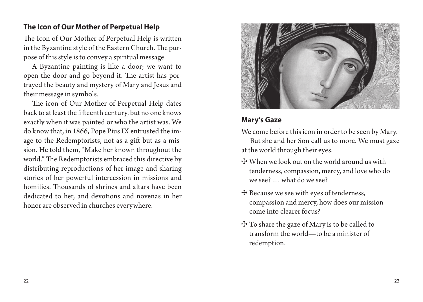# **The Icon of Our Mother of Perpetual Help**

The Icon of Our Mother of Perpetual Help is written in the Byzantine style of the Eastern Church. The purpose of this style is to convey a spiritual message.

A Byzantine painting is like a door; we want to open the door and go beyond it. The artist has portrayed the beauty and mystery of Mary and Jesus and their message in symbols.

The icon of Our Mother of Perpetual Help dates back to at least the fifteenth century, but no one knows exactly when it was painted or who the artist was. We do know that, in 1866, Pope Pius IX entrusted the image to the Redemptorists, not as a gift but as a mission. He told them, "Make her known throughout the world." The Redemptorists embraced this directive by distributing reproductions of her image and sharing stories of her powerful intercession in missions and homilies. Thousands of shrines and altars have been dedicated to her, and devotions and novenas in her honor are observed in churches everywhere.



#### **Mary's Gaze**

We come before this icon in order to be seen by Mary.

But she and her Son call us to more. We must gaze at the world through their eyes.

- When we look out on the world around us with tenderness, compassion, mercy, and love who do we see? … what do we see?
- Because we see with eyes of tenderness, compassion and mercy, how does our mission come into clearer focus?
- $\pm$  To share the gaze of Mary is to be called to transform the world—to be a minister of redemption.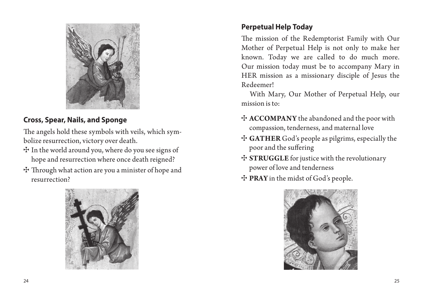

# **Cross, Spear, Nails, and Sponge**

The angels hold these symbols with veils, which symbolize resurrection, victory over death.

- In the world around you, where do you see signs of hope and resurrection where once death reigned?
- Through what action are you a minister of hope and resurrection?



# **Perpetual Help Today**

The mission of the Redemptorist Family with Our Mother of Perpetual Help is not only to make her known. Today we are called to do much more. Our mission today must be to accompany Mary in HER mission as a missionary disciple of Jesus the Redeemer!

With Mary, Our Mother of Perpetual Help, our mission is to:

- **ACCOMPANY** the abandoned and the poor with compassion, tenderness, and maternal love
- **GATHER** God's people as pilgrims, especially the poor and the suffering
- **STRUGGLE** for justice with the revolutionary power of love and tenderness
- **PRAY** in the midst of God's people.

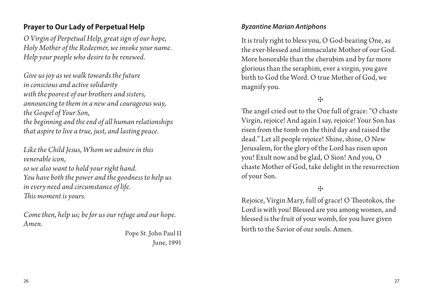# **Prayer to Our Lady of Perpetual Help**

*O Virgin of Perpetual Help, great sign of our hope, Holy Mother of the Redeemer, we invoke your name. Help your people who desire to be renewed.*

*Give us joy as we walk towards the future in conscious and active solidarity with the poorest of our brothers and sisters, announcing to them in a new and courageous way, the Gospel of Your Son, the beginning and the end of all human relationships that aspire to live a true, just, and lasting peace.*

*Like the Child Jesus, Whom we admire in this venerable icon, so we also want to hold your right hand. You have both the power and the goodness to help us in every need and circumstance of life. This moment is yours.*

*Come then, help us; be for us our refuge and our hope. Amen.*

> Pope St. John Paul II June, 1991

#### *Byzantine Marian Antiphons*

It is truly right to bless you, O God-bearing One, as the ever-blessed and immaculate Mother of our God. More honorable than the cherubim and by far more glorious than the seraphim, ever a virgin, you gave birth to God the Word. O true Mother of God, we magnify you*.*

#### $+$

The angel cried out to the One full of grace: "O chaste Virgin, rejoice! And again I say, rejoice! Your Son has risen from the tomb on the third day and raised the dead." Let all people rejoice! Shine, shine, O New Jerusalem, for the glory of the Lord has risen upon you! Exult now and be glad, O Sion! And you, O chaste Mother of God, take delight in the resurrection of your Son.

#### $+$

Rejoice, Virgin Mary, full of grace! O Theotokos, the Lord is with you! Blessed are you among women, and blessed is the fruit of your womb, for you have given birth to the Savior of our souls. Amen*.*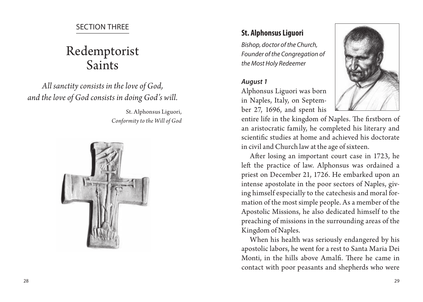# SECTION THREE

# Redemptorist Saints

*All sanctity consists in the love of God, and the love of God consists in doing God's will.*

> St. Alphonsus Liguori, *Conformity to the Will of God*



# **St. Alphonsus Liguori**

*Bishop, doctor of the Church, Founder of the Congregation of the Most Holy Redeemer*

#### *August 1*

Alphonsus Liguori was born in Naples, Italy, on September 27, 1696, and spent his



entire life in the kingdom of Naples. The firstborn of an aristocratic family, he completed his literary and scientific studies at home and achieved his doctorate in civil and Church law at the age of sixteen.

After losing an important court case in 1723, he left the practice of law. Alphonsus was ordained a priest on December 21, 1726. He embarked upon an intense apostolate in the poor sectors of Naples, giving himself especially to the catechesis and moral formation of the most simple people. As a member of the Apostolic Missions, he also dedicated himself to the preaching of missions in the surrounding areas of the Kingdom of Naples.

When his health was seriously endangered by his apostolic labors, he went for a rest to Santa Maria Dei Monti, in the hills above Amalfi. There he came in contact with poor peasants and shepherds who were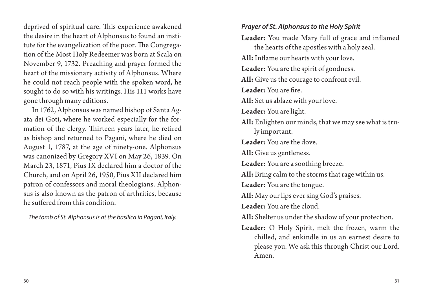deprived of spiritual care. This experience awakened the desire in the heart of Alphonsus to found an institute for the evangelization of the poor. The Congregation of the Most Holy Redeemer was born at Scala on November 9, 1732. Preaching and prayer formed the heart of the missionary activity of Alphonsus. Where he could not reach people with the spoken word, he sought to do so with his writings. His 111 works have gone through many editions.

In 1762, Alphonsus was named bishop of Santa Agata dei Goti, where he worked especially for the formation of the clergy. Thirteen years later, he retired as bishop and returned to Pagani, where he died on August 1, 1787, at the age of ninety-one. Alphonsus was canonized by Gregory XVI on May 26, 1839. On March 23, 1871, Pius IX declared him a doctor of the Church, and on April 26, 1950, Pius XII declared him patron of confessors and moral theologians. Alphonsus is also known as the patron of arthritics, because he suffered from this condition.

*The tomb of St. Alphonsus is at the basilica in Pagani, Italy.*

#### *Prayer of St. Alphonsus to the Holy Spirit*

**Leader:** You made Mary full of grace and inflamed the hearts of the apostles with a holy zeal. **All:** Inflame our hearts with your love. **Leader:** You are the spirit of goodness. **All:** Give us the courage to confront evil. **Leader:** You are fire. **All:** Set us ablaze with your love. **Leader:** You are light. **All:** Enlighten our minds, that we may see what is truly important. **Leader:** You are the dove. **All:** Give us gentleness. **Leader:** You are a soothing breeze. **All:** Bring calm to the storms that rage within us. **Leader:** You are the tongue. **All:** May our lips ever sing God's praises. **Leader:** You are the cloud. **All:** Shelter us under the shadow of your protection. **Leader:** O Holy Spirit, melt the frozen, warm the chilled, and enkindle in us an earnest desire to please you. We ask this through Christ our Lord. Amen.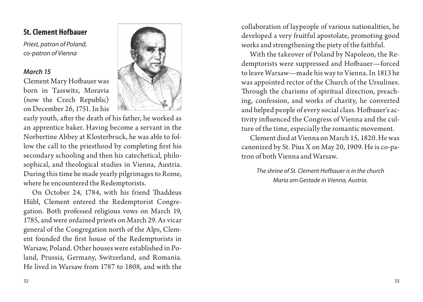# **St. Clement Hofbauer**

*Priest, patron of Poland, co-patron of Vienna*

#### *March 15*

Clement Mary Hofbauer was born in Tasswitz, Moravia (now the Czech Republic) on December 26, 1751. In his



early youth, after the death of his father, he worked as an apprentice baker. Having become a servant in the Norbertine Abbey at Klosterbruck, he was able to follow the call to the priesthood by completing first his secondary schooling and then his catechetical, philosophical, and theological studies in Vienna, Austria. During this time he made yearly pilgrimages to Rome, where he encountered the Redemptorists.

On October 24, 1784, with his friend Thaddeus Hübl, Clement entered the Redemptorist Congregation. Both professed religious vows on March 19, 1785, and were ordained priests on March 29. As vicar general of the Congregation north of the Alps, Clement founded the first house of the Redemptorists in Warsaw, Poland. Other houses were established in Poland, Prussia, Germany, Switzerland, and Romania. He lived in Warsaw from 1787 to 1808, and with the

collaboration of laypeople of various nationalities, he developed a very fruitful apostolate, promoting good works and strengthening the piety of the faithful.

With the takeover of Poland by Napoleon, the Redemptorists were suppressed and Hofbauer—forced to leave Warsaw—made his way to Vienna. In 1813 he was appointed rector of the Church of the Ursulines. Through the charisms of spiritual direction, preaching, confession, and works of charity, he converted and helped people of every social class. Hofbauer's activity influenced the Congress of Vienna and the culture of the time, especially the romantic movement.

Clement died at Vienna on March 15, 1820. He was canonized by St. Pius X on May 20, 1909. He is co-patron of both Vienna and Warsaw.

*The shrine of St. Clement Hofbauer is in the church Maria am Gestade in Vienna, Austria.*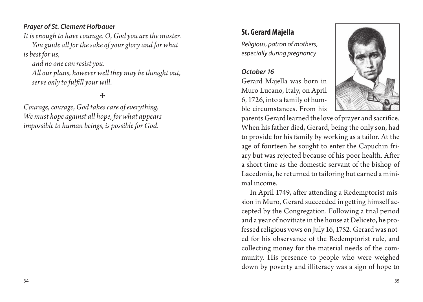#### *Prayer of St. Clement Hofbauer*

*It is enough to have courage. O, God you are the master. You guide all for the sake of your glory and for what is best for us,*

*and no one can resist you.*

*All our plans, however well they may be thought out, serve only to fulfill your will.*

中

*Courage, courage, God takes care of everything. We must hope against all hope, for what appears impossible to human beings, is possible for God.*

# **St. Gerard Majella**

*Religious, patron of mothers, especially during pregnancy*

#### *October 16*

Gerard Majella was born in Muro Lucano, Italy, on April 6, 1726, into a family of humble circumstances. From his



parents Gerard learned the love of prayer and sacrifice. When his father died, Gerard, being the only son, had to provide for his family by working as a tailor. At the age of fourteen he sought to enter the Capuchin friary but was rejected because of his poor health. After a short time as the domestic servant of the bishop of Lacedonia, he returned to tailoring but earned a minimal income.

In April 1749, after attending a Redemptorist mission in Muro, Gerard succeeded in getting himself accepted by the Congregation. Following a trial period and a year of novitiate in the house at Deliceto, he professed religious vows on July 16, 1752. Gerard was noted for his observance of the Redemptorist rule, and collecting money for the material needs of the community. His presence to people who were weighed down by poverty and illiteracy was a sign of hope to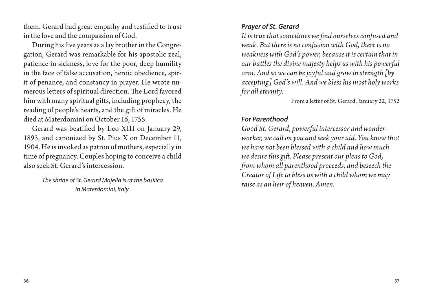them. Gerard had great empathy and testified to trust in the love and the compassion of God.

During his five years as a lay brother in the Congregation, Gerard was remarkable for his apostolic zeal, patience in sickness, love for the poor, deep humility in the face of false accusation, heroic obedience, spirit of penance, and constancy in prayer. He wrote numerous letters of spiritual direction. The Lord favored him with many spiritual gifts, including prophecy, the reading of people's hearts, and the gift of miracles. He died at Materdomini on October 16, 1755.

Gerard was beatified by Leo XIII on January 29, 1893, and canonized by St. Pius X on December 11, 1904. He is invoked as patron of mothers, especially in time of pregnancy. Couples hoping to conceive a child also seek St. Gerard's intercession.

> *The shrine of St. Gerard Majella is at the basilica in Materdomini, Italy.*

#### *Prayer of St. Gerard*

*It is true that sometimes we find ourselves confused and weak. But there is no confusion with God, there is no weakness with God's power, because it is certain that in our battles the divine majesty helps us with his powerful arm. And so we can be joyful and grow in strength [by accepting] God's will. And we bless his most holy works for all eternity.*

From a letter of St. Gerard, January 22, 1752

# *For Parenthood*

*Good St. Gerard, powerful intercessor and wonderworker, we call on you and seek your aid. You know that we have not been blessed with a child and how much we desire this gift. Please present our pleas to God, from whom all parenthood proceeds, and beseech the Creator of Life to bless us with a child whom we may raise as an heir of heaven. Amen.*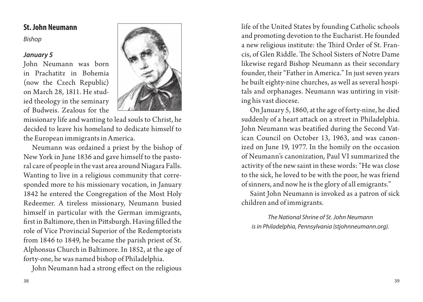## **St. John Neumann**

*Bishop*

#### *January 5*

John Neumann was born in Prachatitz in Bohemia (now the Czech Republic) on March 28, 1811. He studied theology in the seminary of Budweis. Zealous for the



missionary life and wanting to lead souls to Christ, he decided to leave his homeland to dedicate himself to the European immigrants in America.

Neumann was ordained a priest by the bishop of New York in June 1836 and gave himself to the pastoral care of people in the vast area around Niagara Falls. Wanting to live in a religious community that corresponded more to his missionary vocation, in January 1842 he entered the Congregation of the Most Holy Redeemer. A tireless missionary, Neumann busied himself in particular with the German immigrants, first in Baltimore, then in Pittsburgh. Having filled the role of Vice Provincial Superior of the Redemptorists from 1846 to 1849, he became the parish priest of St. Alphonsus Church in Baltimore. In 1852, at the age of forty-one, he was named bishop of Philadelphia.

John Neumann had a strong effect on the religious

life of the United States by founding Catholic schools and promoting devotion to the Eucharist. He founded a new religious institute: the Third Order of St. Francis, of Glen Riddle. The School Sisters of Notre Dame likewise regard Bishop Neumann as their secondary founder, their "Father in America." In just seven years he built eighty-nine churches, as well as several hospitals and orphanages. Neumann was untiring in visiting his vast diocese.

On January 5, 1860, at the age of forty-nine, he died suddenly of a heart attack on a street in Philadelphia. John Neumann was beatified during the Second Vatican Council on October 13, 1963, and was canonized on June 19, 1977. In the homily on the occasion of Neumann's canonization, Paul VI summarized the activity of the new saint in these words: "He was close to the sick, he loved to be with the poor, he was friend of sinners, and now he is the glory of all emigrants."

Saint John Neumann is invoked as a patron of sick children and of immigrants.

*The National Shrine of St. John Neumann is in Philadelphia, Pennsylvania (stjohnneumann.org).*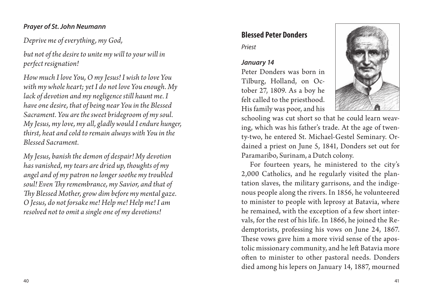#### *Prayer of St. John Neumann*

# *Deprive me of everything, my God,*

*but not of the desire to unite my will to your will in perfect resignation!*

*How much I love You, O my Jesus! I wish to love You with my whole heart; yet I do not love You enough. My lack of devotion and my negligence still haunt me. I have one desire, that of being near You in the Blessed Sacrament. You are the sweet bridegroom of my soul. My Jesus, my love, my all, gladly would I endure hunger, thirst, heat and cold to remain always with You in the Blessed Sacrament.*

*My Jesus, banish the demon of despair! My devotion has vanished, my tears are dried up, thoughts of my angel and of my patron no longer soothe my troubled soul! Even Thy remembrance, my Savior, and that of Thy Blessed Mother, grow dim before my mental gaze. O Jesus, do not forsake me! Help me! Help me! I am resolved not to omit a single one of my devotions!*

# **Blessed Peter Donders**

*Priest*

#### *January 14*

Peter Donders was born in Tilburg, Holland, on October 27, 1809. As a boy he felt called to the priesthood. His family was poor, and his



schooling was cut short so that he could learn weaving, which was his father's trade. At the age of twenty-two, he entered St. Michael-Gestel Seminary. Ordained a priest on June 5, 1841, Donders set out for Paramaribo, Surinam, a Dutch colony.

For fourteen years, he ministered to the city's 2,000 Catholics, and he regularly visited the plantation slaves, the military garrisons, and the indigenous people along the rivers. In 1856, he volunteered to minister to people with leprosy at Batavia, where he remained, with the exception of a few short intervals, for the rest of his life. In 1866, he joined the Redemptorists, professing his vows on June 24, 1867. These vows gave him a more vivid sense of the apostolic missionary community, and he left Batavia more often to minister to other pastoral needs. Donders died among his lepers on January 14, 1887, mourned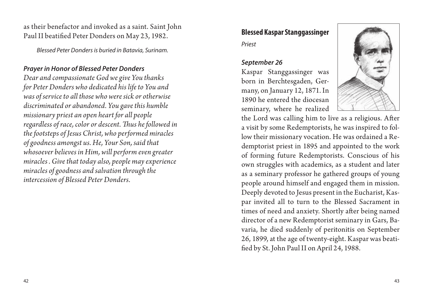as their benefactor and invoked as a saint. Saint John Paul II beatified Peter Donders on May 23, 1982.

*Blessed Peter Donders is buried in Batavia, Surinam.*

#### *Prayer in Honor of Blessed Peter Donders*

*Dear and compassionate God we give You thanks for Peter Donders who dedicated his life to You and was of service to all those who were sick or otherwise discriminated or abandoned. You gave this humble missionary priest an open heart for all people regardless of race, color or descent. Thus he followed in the footsteps of Jesus Christ, who performed miracles of goodness amongst us. He, Your Son, said that whosoever believes in Him, will perform even greater miracles . Give that today also, people may experience miracles of goodness and salvation through the intercession of Blessed Peter Donders.*

#### **Blessed Kaspar Stanggassinger**

*Priest*

#### *September 26*

Kaspar Stanggassinger was born in Berchtesgaden, Germany, on January 12, 1871. In 1890 he entered the diocesan seminary, where he realized



the Lord was calling him to live as a religious. After a visit by some Redemptorists, he was inspired to follow their missionary vocation. He was ordained a Redemptorist priest in 1895 and appointed to the work of forming future Redemptorists. Conscious of his own struggles with academics, as a student and later as a seminary professor he gathered groups of young people around himself and engaged them in mission. Deeply devoted to Jesus present in the Eucharist, Kaspar invited all to turn to the Blessed Sacrament in times of need and anxiety. Shortly after being named director of a new Redemptorist seminary in Gars, Bavaria, he died suddenly of peritonitis on September 26, 1899, at the age of twenty-eight. Kaspar was beatified by St. John Paul II on April 24, 1988.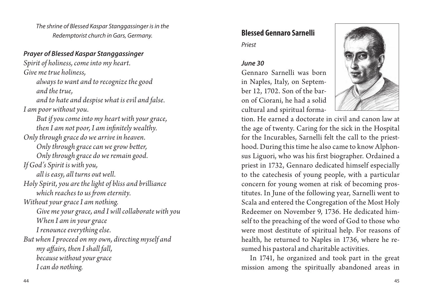*The shrine of Blessed Kaspar Stanggassinger is in the Redemptorist church in Gars, Germany.*

## *Prayer of Blessed Kaspar Stanggassinger*

*Spirit of holiness, come into my heart. Give me true holiness, always to want and to recognize the good and the true, and to hate and despise what is evil and false. I am poor without you. But if you come into my heart with your grace, then I am not poor, I am infinitely wealthy. Only through grace do we arrive in heaven. Only through grace can we grow better, Only through grace do we remain good. If God's Spirit is with you, all is easy, all turns out well. Holy Spirit, you are the light of bliss and brilliance which reaches to us from eternity. Without your grace I am nothing. Give me your grace, and I will collaborate with you When I am in your grace I renounce everything else. But when I proceed on my own, directing myself and my affairs, then I shall fall, because without your grace I can do nothing.*

# **Blessed Gennaro Sarnelli**

*Priest*

#### *June 30*

Gennaro Sarnelli was born in Naples, Italy, on September 12, 1702. Son of the baron of Ciorani, he had a solid cultural and spiritual forma-



tion. He earned a doctorate in civil and canon law at the age of twenty. Caring for the sick in the Hospital for the Incurables, Sarnelli felt the call to the priesthood. During this time he also came to know Alphonsus Liguori, who was his first biographer. Ordained a priest in 1732, Gennaro dedicated himself especially to the catechesis of young people, with a particular concern for young women at risk of becoming prostitutes. In June of the following year, Sarnelli went to Scala and entered the Congregation of the Most Holy Redeemer on November 9, 1736. He dedicated himself to the preaching of the word of God to those who were most destitute of spiritual help. For reasons of health, he returned to Naples in 1736, where he resumed his pastoral and charitable activities.

In 1741, he organized and took part in the great mission among the spiritually abandoned areas in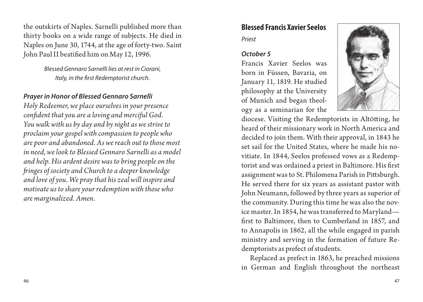the outskirts of Naples. Sarnelli published more than thirty books on a wide range of subjects. He died in Naples on June 30, 1744, at the age of forty-two. Saint John Paul II beatified him on May 12, 1996.

> *Blessed Gennaro Sarnelli lies at rest in Ciorani, Italy, in the first Redemptorist church.*

#### *Prayer in Honor of Blessed Gennaro Sarnelli*

*Holy Redeemer, we place ourselves in your presence confident that you are a loving and merciful God. You walk with us by day and by night as we strive to proclaim your gospel with compassion to people who are poor and abandoned. As we reach out to those most in need, we look to Blessed Gennaro Sarnelli as a model and help. His ardent desire was to bring people on the fringes of society and Church to a deeper knowledge and love of you. We pray that his zeal will inspire and motivate us to share your redemption with those who are marginalized. Amen.*

# **Blessed Francis Xavier Seelos**

*Priest*

#### *October 5*

Francis Xavier Seelos was born in Füssen, Bavaria, on January 11, 1819. He studied philosophy at the University of Munich and began theology as a seminarian for the



diocese. Visiting the Redemptorists in AltÖtting, he heard of their missionary work in North America and decided to join them. With their approval, in 1843 he set sail for the United States, where he made his novitiate. In 1844, Seelos professed vows as a Redemptorist and was ordained a priest in Baltimore. His first assignment was to St. Philomena Parish in Pittsburgh. He served there for six years as assistant pastor with John Neumann, followed by three years as superior of the community. During this time he was also the novice master. In 1854, he was transferred to Maryland first to Baltimore, then to Cumberland in 1857, and to Annapolis in 1862, all the while engaged in parish ministry and serving in the formation of future Redemptorists as prefect of students.

Replaced as prefect in 1863, he preached missions in German and English throughout the northeast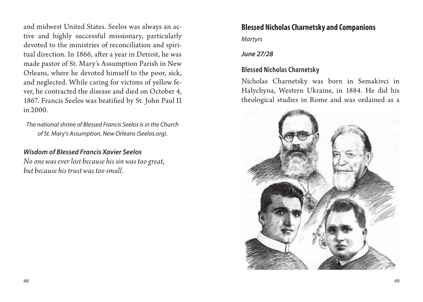and midwest United States. Seelos was always an active and highly successful missionary, particularly devoted to the ministries of reconciliation and spiritual direction. In 1866, after a year in Detroit, he was made pastor of St. Mary's Assumption Parish in New Orleans, where he devoted himself to the poor, sick, and neglected. While caring for victims of yellow fever, he contracted the disease and died on October 4, 1867. Francis Seelos was beatified by St. John Paul II in 2000.

*The national shrine of Blessed Francis Seelos is in the Church of St. Mary's Assumption, New Orleans (Seelos.org).*

#### *Wisdom of Blessed Francis Xavier Seelos*

*No one was ever lost because his sin was too great, but because his trust was too small.*

# **Blessed Nicholas Charnetsky and Companions**

*Martyrs*

*June 27/28*

#### **Blessed Nicholas Charnetsky**

Nicholas Charnetsky was born in Semakivci in Halychyna, Western Ukraine, in 1884. He did his theological studies in Rome and was ordained as a

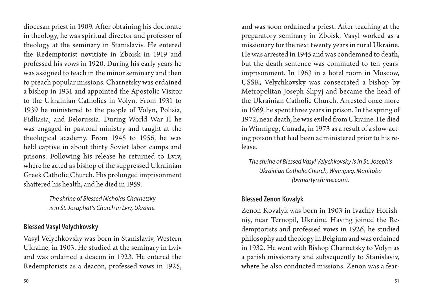diocesan priest in 1909. After obtaining his doctorate in theology, he was spiritual director and professor of theology at the seminary in Stanislaviv. He entered the Redemptorist novitiate in Zboisk in 1919 and professed his vows in 1920. During his early years he was assigned to teach in the minor seminary and then to preach popular missions. Charnetsky was ordained a bishop in 1931 and appointed the Apostolic Visitor to the Ukrainian Catholics in Volyn. From 1931 to 1939 he ministered to the people of Volyn, Polisia, Pidliasia, and Belorussia. During World War II he was engaged in pastoral ministry and taught at the theological academy. From 1945 to 1956, he was held captive in about thirty Soviet labor camps and prisons. Following his release he returned to Lviv, where he acted as bishop of the suppressed Ukrainian Greek Catholic Church. His prolonged imprisonment shattered his health, and he died in 1959.

> *The shrine of Blessed Nicholas Charnetsky is in St. Josaphat's Church in Lviv, Ukraine.*

# **Blessed Vasyl Velychkovsky**

Vasyl Velychkovsky was born in Stanislaviv, Western Ukraine, in 1903. He studied at the seminary in Lviv and was ordained a deacon in 1923. He entered the Redemptorists as a deacon, professed vows in 1925, and was soon ordained a priest. After teaching at the preparatory seminary in Zboisk, Vasyl worked as a missionary for the next twenty years in rural Ukraine. He was arrested in 1945 and was condemned to death, but the death sentence was commuted to ten years' imprisonment. In 1963 in a hotel room in Moscow, USSR, Velychkovsky was consecrated a bishop by Metropolitan Joseph Slipyj and became the head of the Ukrainian Catholic Church. Arrested once more in 1969, he spent three years in prison. In the spring of 1972, near death, he was exiled from Ukraine. He died in Winnipeg, Canada, in 1973 as a result of a slow-acting poison that had been administered prior to his release.

*The shrine of Blessed Vasyl Velychkovsky is in St. Joseph's Ukrainian Catholic Church, Winnipeg, Manitoba (*b*vmarty*r*shrine.com).*

#### **Blessed Zenon Kovalyk**

Zenon Kovalyk was born in 1903 in Ivachiv Horishniy, near Ternopil, Ukraine. Having joined the Redemptorists and professed vows in 1926, he studied philosophy and theology in Belgium and was ordained in 1932. He went with Bishop Charnetsky to Volyn as a parish missionary and subsequently to Stanislaviv, where he also conducted missions. Zenon was a fear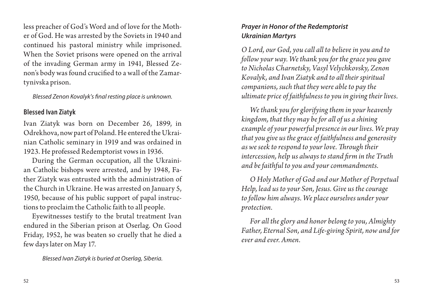less preacher of God's Word and of love for the Mother of God. He was arrested by the Soviets in 1940 and continued his pastoral ministry while imprisoned. When the Soviet prisons were opened on the arrival of the invading German army in 1941, Blessed Zenon's body was found crucified to a wall of the Zamartynivska prison.

*Blessed Zenon Kovalyk's final resting place is unknown.*

#### **Blessed Ivan Ziatyk**

Ivan Ziatyk was born on December 26, 1899, in Odrekhova, now part of Poland. He entered the Ukrainian Catholic seminary in 1919 and was ordained in 1923. He professed Redemptorist vows in 1936.

During the German occupation, all the Ukrainian Catholic bishops were arrested, and by 1948, Father Ziatyk was entrusted with the administration of the Church in Ukraine. He was arrested on January 5, 1950, because of his public support of papal instructions to proclaim the Catholic faith to all people.

Eyewitnesses testify to the brutal treatment Ivan endured in the Siberian prison at Oserlag. On Good Friday, 1952, he was beaten so cruelly that he died a few days later on May 17.

*Blessed Ivan Ziatyk is buried at Oserlag, Siberia.*

## *Prayer in Honor of the Redemptorist Ukrainian Martyrs*

*O Lord, our God, you call all to believe in you and to follow your way. We thank you for the grace you gave to Nicholas Charnetsky, Vasyl Velychkovsky, Zenon Kovalyk, and Ivan Ziatyk and to all their spiritual companions, such that they were able to pay the ultimate price of faithfulness to you in giving their lives.*

*We thank you for glorifying them in your heavenly kingdom, that they may be for all of us a shining example of your powerful presence in our lives. We pray that you give us the grace of faithfulness and generosity as we seek to respond to your love. Through their intercession, help us always to stand firm in the Truth and be faithful to you and your commandments.*

*O Holy Mother of God and our Mother of Perpetual Help, lead us to your Son, Jesus. Give us the courage to follow him always. We place ourselves under your protection.*

*For all the glory and honor belong to you, Almighty Father, Eternal Son, and Life-giving Spirit, now and for ever and ever. Amen.*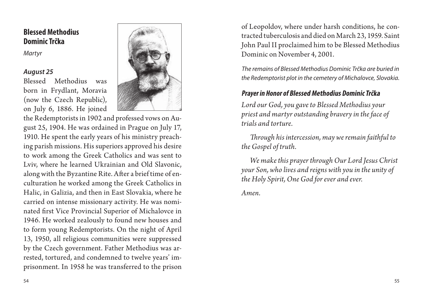# **Blessed Methodius Dominic Trčka**

*Martyr*

#### *August 25*

Blessed Methodius was born in Frydlant, Moravia (now the Czech Republic), on July 6, 1886. He joined



the Redemptorists in 1902 and professed vows on August 25, 1904. He was ordained in Prague on July 17, 1910. He spent the early years of his ministry preaching parish missions. His superiors approved his desire to work among the Greek Catholics and was sent to Lviv, where he learned Ukrainian and Old Slavonic, along with the Byzantine Rite. After a brief time of enculturation he worked among the Greek Catholics in Halic, in Galizia, and then in East Slovakia, where he carried on intense missionary activity. He was nominated first Vice Provincial Superior of Michalovce in 1946. He worked zealously to found new houses and to form young Redemptorists. On the night of April 13, 1950, all religious communities were suppressed by the Czech government. Father Methodius was arrested, tortured, and condemned to twelve years' imprisonment. In 1958 he was transferred to the prison

of Leopoldov, where under harsh conditions, he contracted tuberculosis and died on March 23, 1959. Saint John Paul II proclaimed him to be Blessed Methodius Dominic on November 4, 2001.

*The remains of Blessed Methodius Dominic Trčka are buried in the Redemptorist plot in the cemetery of Michalovce, Slovakia.*

# **Prayer in Honor of Blessed Methodius Dominic Trčka**

*Lord our God, you gave to Blessed Methodius your priest and martyr outstanding bravery in the face of trials and torture.* 

*Through his intercession, may we remain faithful to the Gospel of truth.* 

*We make this prayer through Our Lord Jesus Christ your Son, who lives and reigns with you in the unity of the Holy Spirit, One God for ever and ever.*

*Amen.*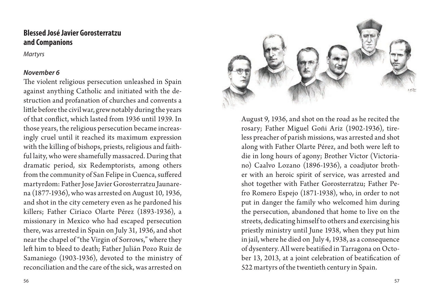# **Blessed José Javier Gorosterratzu and Companions**

*Martyrs*

#### *November 6*

The violent religious persecution unleashed in Spain against anything Catholic and initiated with the destruction and profanation of churches and convents a little before the civil war, grew notably during the years of that conflict, which lasted from 1936 until 1939. In those years, the religious persecution became increasingly cruel until it reached its maximum expression with the killing of bishops, priests, religious and faithful laity, who were shamefully massacred. During that dramatic period, six Redemptorists, among others from the community of San Felipe in Cuenca, suffered martyrdom: Father Jose Javier Gorosterratzu Jaunarena (1877-1936), who was arrested on August 10, 1936, and shot in the city cemetery even as he pardoned his killers; Father Ciriaco Olarte Pérez (1893-1936), a missionary in Mexico who had escaped persecution there, was arrested in Spain on July 31, 1936, and shot near the chapel of "the Virgin of Sorrows," where they left him to bleed to death; Father Julián Pozo Ruiz de Samaniego (1903-1936), devoted to the ministry of reconciliation and the care of the sick, was arrested on



August 9, 1936, and shot on the road as he recited the rosary; Father Miguel Goñi Ariz (1902-1936), tireless preacher of parish missions, was arrested and shot along with Father Olarte Pérez, and both were left to die in long hours of agony; Brother Victor (Victoriano) Caalvo Lozano (1896-1936), a coadjutor brother with an heroic spirit of service, was arrested and shot together with Father Gorosterratzu; Father Pefro Romero Espejo (1871-1938), who, in order to not put in danger the family who welcomed him during the persecution, abandoned that home to live on the streets, dedicating himself to others and exercising his priestly ministry until June 1938, when they put him in jail, where he died on July 4, 1938, as a consequence of dysentery. All were beatified in Tarragona on October 13, 2013, at a joint celebration of beatification of 522 martyrs of the twentieth century in Spain.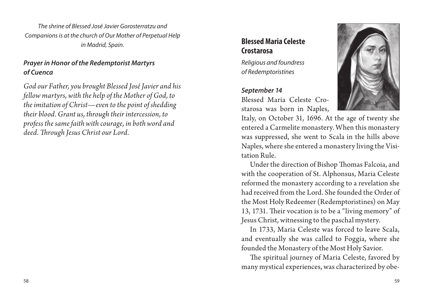*The shrine of Blessed José Javier Gorosterratzu and Companions is at the church of Our Mother of Perpetual Help in Madrid, Spain.*

# *Prayer in Honor of the Redemptorist Martyrs of Cuenca*

*God our Father, you brought Blessed José Javier and his fellow martyrs, with the help of the Mother of God, to the imitation of Christ—even to the point of shedding their blood. Grant us, through their intercession, to profess the same faith with courage, in both word and deed. Through Jesus Christ our Lord.*

# **Blessed Maria Celeste Crostarosa**

*Religious and foundress of Redemptoristines*

# *September 14*

Blessed Maria Celeste Crostarosa was born in Naples,



Italy, on October 31, 1696. At the age of twenty she entered a Carmelite monastery. When this monastery was suppressed, she went to Scala in the hills above Naples, where she entered a monastery living the Visitation Rule.

Under the direction of Bishop Thomas Falcoia, and with the cooperation of St. Alphonsus, Maria Celeste reformed the monastery according to a revelation she had received from the Lord. She founded the Order of the Most Holy Redeemer (Redemptoristines) on May 13, 1731. Their vocation is to be a "living memory" of Jesus Christ, witnessing to the paschal mystery.

In 1733, Maria Celeste was forced to leave Scala, and eventually she was called to Foggia, where she founded the Monastery of the Most Holy Savior.

The spiritual journey of Maria Celeste, favored by many mystical experiences, was characterized by obe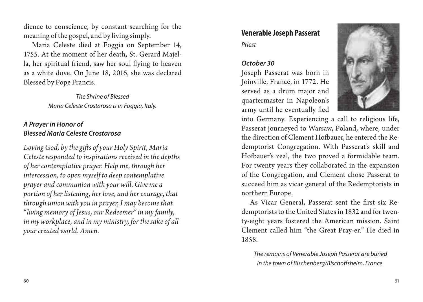dience to conscience, by constant searching for the meaning of the gospel, and by living simply.

Maria Celeste died at Foggia on September 14, 1755. At the moment of her death, St. Gerard Majella, her spiritual friend, saw her soul flying to heaven as a white dove. On June 18, 2016, she was declared Blessed by Pope Francis.

> *The Shrine of Blessed Maria Celeste Crostarosa is in Foggia, Italy.*

## *A Prayer in Honor of Blessed Maria Celeste Crostarosa*

*Loving God, by the gifts of your Holy Spirit, Maria Celeste responded to inspirations received in the depths of her contemplative prayer. Help me, through her intercession, to open myself to deep contemplative prayer and communion with your will. Give me a portion of her listening, her love, and her courage, that through union with you in prayer, I may become that "living memory of Jesus, our Redeemer" in my family, in my workplace, and in my ministry, for the sake of all your created world. Amen.*

#### **Venerable Joseph Passerat**

*Priest*

#### *October 30*

Joseph Passerat was born in Joinville, France, in 1772. He served as a drum major and quartermaster in Napoleon's army until he eventually fled



into Germany. Experiencing a call to religious life, Passerat journeyed to Warsaw, Poland, where, under the direction of Clement Hofbauer, he entered the Redemptorist Congregation. With Passerat's skill and Hofbauer's zeal, the two proved a formidable team. For twenty years they collaborated in the expansion of the Congregation, and Clement chose Passerat to succeed him as vicar general of the Redemptorists in northern Europe.

As Vicar General, Passerat sent the first six Redemptorists to the United States in 1832 and for twenty-eight years fostered the American mission. Saint Clement called him "the Great Pray-er." He died in 1858.

*The remains of Venerable Joseph Passerat are buried in the town of Bischenberg/Bischoffsheim, France.*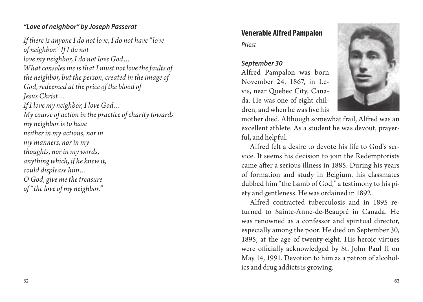### *"Love of neighbor" by Joseph Passerat*

*If there is anyone I do not love, I do not have "love of neighbor." If I do not love my neighbor, I do not love God… What consoles me is that I must not love the faults of the neighbor, but the person, created in the image of God, redeemed at the price of the blood of Jesus Christ… If I love my neighbor, I love God… My course of action in the practice of charity towards my neighbor is to have neither in my actions, nor in my manners, nor in my thoughts, nor in my words, anything which, if he knew it, could displease him… O God, give me the treasure of "the love of my neighbor."*

# **Venerable Alfred Pampalon**

*Priest*

#### *September 30*

Alfred Pampalon was born November 24, 1867, in Levis, near Quebec City, Canada. He was one of eight children, and when he was five his



mother died. Although somewhat frail, Alfred was an excellent athlete. As a student he was devout, prayerful, and helpful.

Alfred felt a desire to devote his life to God's service. It seems his decision to join the Redemptorists came after a serious illness in 1885. During his years of formation and study in Belgium, his classmates dubbed him "the Lamb of God," a testimony to his piety and gentleness. He was ordained in 1892.

Alfred contracted tuberculosis and in 1895 returned to Sainte-Anne-de-Beaupré in Canada. He was renowned as a confessor and spiritual director, especially among the poor. He died on September 30, 1895, at the age of twenty-eight. His heroic virtues were officially acknowledged by St. John Paul II on May 14, 1991. Devotion to him as a patron of alcoholics and drug addicts is growing.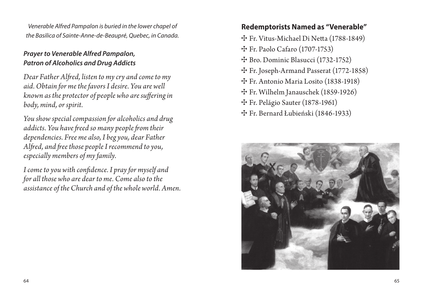*Venerable Alfred Pampalon is buried in the lower chapel of the Basilica of Sainte-Anne-de-Beaupré, Quebec, in Canada.*

# *Prayer to Venerable Alfred Pampalon, Patron of Alcoholics and Drug Addicts*

*Dear Father Alfred, listen to my cry and come to my aid. Obtain for me the favors I desire. You are well known as the protector of people who are suffering in body, mind, or spirit.*

*You show special compassion for alcoholics and drug addicts. You have freed so many people from their dependencies. Free me also, I beg you, dear Father Alfred, and free those people I recommend to you, especially members of my family.*

*I come to you with confidence. I pray for myself and for all those who are dear to me. Come also to the assistance of the Church and of the whole world. Amen.*

## **Redemptorists Named as "Venerable"**

- Fr. Vitus-Michael Di Netta (1788-1849)
- Fr. Paolo Cafaro (1707-1753)
- Bro. Dominic Blasucci (1732-1752)
- Fr. Joseph-Armand Passerat (1772-1858)
- Fr. Antonio Maria Losito (1838-1918)
- Fr. Wilhelm Janauschek (1859-1926)
- Fr. Pelágio Sauter (1878-1961)
- Fr. Bernard Łubieński (1846-1933)

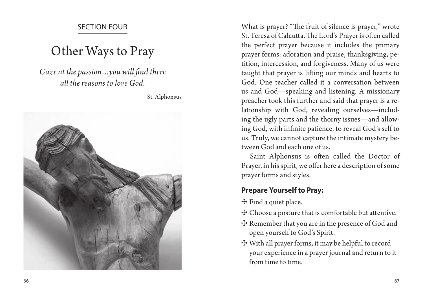# SECTION FOUR

# Other Ways to Pray

*Gaze at the passion…you will find there all the reasons to love God.*

St. Alphonsus



What is prayer? "The fruit of silence is prayer," wrote St. Teresa of Calcutta. The Lord's Prayer is often called the perfect prayer because it includes the primary prayer forms: adoration and praise, thanksgiving, petition, intercession, and forgiveness. Many of us were taught that prayer is lifting our minds and hearts to God. One teacher called it a conversation between us and God—speaking and listening. A missionary preacher took this further and said that prayer is a relationship with God, revealing ourselves—including the ugly parts and the thorny issues—and allowing God, with infinite patience, to reveal God's self to us. Truly, we cannot capture the intimate mystery between God and each one of us.

Saint Alphonsus is often called the Doctor of Prayer, in his spirit, we offer here a description of some prayer forms and styles.

# **Prepare Yourself to Pray:**

- Find a quiet place.
- Choose a posture that is comfortable but attentive.
- Remember that you are in the presence of God and open yourself to God's Spirit.
- With all prayer forms, it may be helpful to record your experience in a prayer journal and return to it from time to time.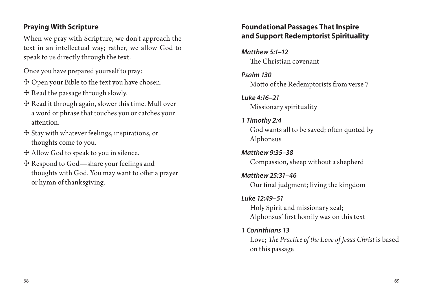# **Praying With Scripture**

When we pray with Scripture, we don't approach the text in an intellectual way; rather, we allow God to speak to us directly through the text.

Once you have prepared yourself to pray:

- Open your Bible to the text you have chosen.
- Read the passage through slowly.
- Read it through again, slower this time. Mull over a word or phrase that touches you or catches your attention.
- Stay with whatever feelings, inspirations, or thoughts come to you.
- Allow God to speak to you in silence.
- Respond to God—share your feelings and thoughts with God. You may want to offer a prayer or hymn of thanksgiving.

# **Foundational Passages That Inspire and Support Redemptorist Spirituality**

*Matthew 5:1–12* The Christian covenant

*Psalm 130*

Motto of the Redemptorists from verse 7

*Luke 4:16–21* Missionary spirituality

*1 Timothy 2:4* God wants all to be saved; often quoted by Alphonsus

*Matthew 9:35–38* Compassion, sheep without a shepherd

*Matthew 25:31–46* Our final judgment; living the kingdom

*Luke 12:49–51* Holy Spirit and missionary zeal; Alphonsus' first homily was on this text

#### *1 Corinthians 13*

Love; *The Practice of the Love of Jesus Christ* is based on this passage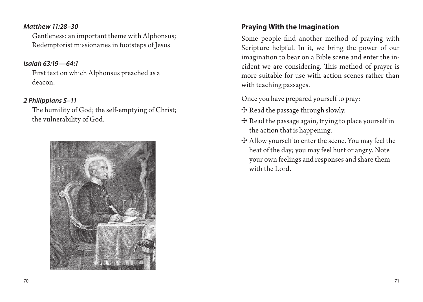#### *Matthew 11:28–30*

Gentleness: an important theme with Alphonsus; Redemptorist missionaries in footsteps of Jesus

#### *Isaiah 63:19—64:1*

First text on which Alphonsus preached as a deacon.

#### *2 Philippians 5–11*

The humility of God; the self-emptying of Christ; the vulnerability of God.



# **Praying With the Imagination**

Some people find another method of praying with Scripture helpful. In it, we bring the power of our imagination to bear on a Bible scene and enter the incident we are considering. This method of prayer is more suitable for use with action scenes rather than with teaching passages.

Once you have prepared yourself to pray:

- Read the passage through slowly.
- Read the passage again, trying to place yourself in the action that is happening.
- Allow yourself to enter the scene. You may feel the heat of the day; you may feel hurt or angry. Note your own feelings and responses and share them with the Lord.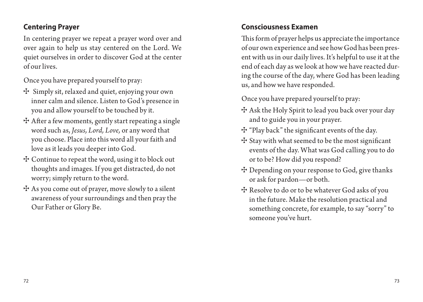# **Centering Prayer**

In centering prayer we repeat a prayer word over and over again to help us stay centered on the Lord. We quiet ourselves in order to discover God at the center of our lives.

Once you have prepared yourself to pray:

- Simply sit, relaxed and quiet, enjoying your own inner calm and silence. Listen to God's presence in you and allow yourself to be touched by it.
- After a few moments, gently start repeating a single word such as, *Jesus, Lord, Love,* or any word that you choose. Place into this word all your faith and love as it leads you deeper into God.
- Continue to repeat the word, using it to block out thoughts and images. If you get distracted, do not worry; simply return to the word.
- As you come out of prayer, move slowly to a silent awareness of your surroundings and then pray the Our Father or Glory Be.

# **Consciousness Examen**

This form of prayer helps us appreciate the importance of our own experience and see how God has been present with us in our daily lives. It's helpful to use it at the end of each day as we look at how we have reacted during the course of the day, where God has been leading us, and how we have responded.

Once you have prepared yourself to pray:

- Ask the Holy Spirit to lead you back over your day and to guide you in your prayer.
- "Play back" the significant events of the day.
- $\pm$  Stay with what seemed to be the most significant events of the day. What was God calling you to do or to be? How did you respond?
- Depending on your response to God, give thanks or ask for pardon—or both.
- Resolve to do or to be whatever God asks of you in the future. Make the resolution practical and something concrete, for example, to say "sorry" to someone you've hurt.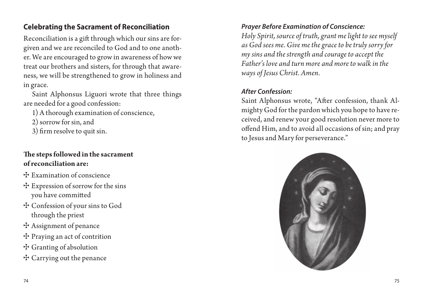# **Celebrating the Sacrament of Reconciliation**

Reconciliation is a gift through which our sins are forgiven and we are reconciled to God and to one another. We are encouraged to grow in awareness of how we treat our brothers and sisters, for through that awareness, we will be strengthened to grow in holiness and in grace.

Saint Alphonsus Liguori wrote that three things are needed for a good confession:

1) A thorough examination of conscience,

2) sorrow for sin, and

3) firm resolve to quit sin.

### **The steps followed in the sacrament of reconciliation are:**

- Examination of conscience
- Expression of sorrow for the sins you have committed
- Confession of your sins to God through the priest
- Assignment of penance
- Praying an act of contrition
- Granting of absolution
- Carrying out the penance

#### *Prayer Before Examination of Conscience:*

*Holy Spirit, source of truth, grant me light to see myself as God sees me. Give me the grace to be truly sorry for my sins and the strength and courage to accept the Father's love and turn more and more to walk in the ways of Jesus Christ. Amen.*

## *After Confession:*

Saint Alphonsus wrote, "After confession, thank Almighty God for the pardon which you hope to have received, and renew your good resolution never more to offend Him, and to avoid all occasions of sin; and pray to Jesus and Mary for perseverance."

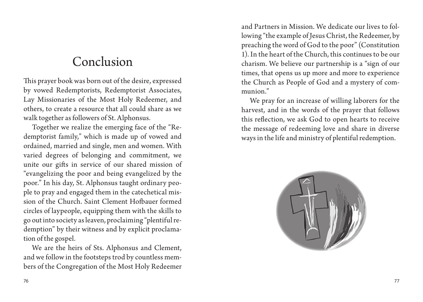# Conclusion

This prayer book was born out of the desire, expressed by vowed Redemptorists, Redemptorist Associates, Lay Missionaries of the Most Holy Redeemer, and others, to create a resource that all could share as we walk together as followers of St. Alphonsus.

Together we realize the emerging face of the "Redemptorist family," which is made up of vowed and ordained, married and single, men and women. With varied degrees of belonging and commitment, we unite our gifts in service of our shared mission of "evangelizing the poor and being evangelized by the poor." In his day, St. Alphonsus taught ordinary people to pray and engaged them in the catechetical mission of the Church. Saint Clement Hofbauer formed circles of laypeople, equipping them with the skills to go out into society as leaven, proclaiming "plentiful redemption" by their witness and by explicit proclamation of the gospel.

We are the heirs of Sts. Alphonsus and Clement, and we follow in the footsteps trod by countless members of the Congregation of the Most Holy Redeemer and Partners in Mission. We dedicate our lives to following "the example of Jesus Christ, the Redeemer, by preaching the word of God to the poor" (Constitution 1). In the heart of the Church, this continues to be our charism. We believe our partnership is a "sign of our times, that opens us up more and more to experience the Church as People of God and a mystery of communion."

We pray for an increase of willing laborers for the harvest, and in the words of the prayer that follows this reflection, we ask God to open hearts to receive the message of redeeming love and share in diverse ways in the life and ministry of plentiful redemption.

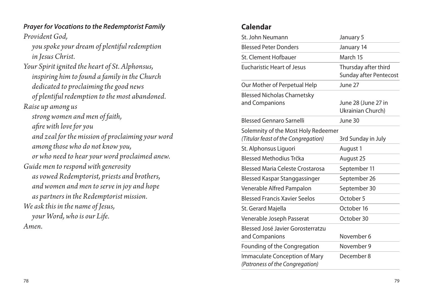*Prayer for Vocations to the Redemptorist Family Provident God, you spoke your dream of plentiful redemption in Jesus Christ. Your Spirit ignited the heart of St. Alphonsus, inspiring him to found a family in the Church dedicated to proclaiming the good news of plentiful redemption to the most abandoned. Raise up among us strong women and men of faith, afire with love for you and zeal for the mission of proclaiming your word among those who do not know you, or who need to hear your word proclaimed anew. Guide men to respond with generosity as vowed Redemptorist, priests and brothers, and women and men to serve in joy and hope as partners in the Redemptorist mission. We ask this in the name of Jesus, your Word, who is our Life. Amen.*

# **Calendar**

| St. John Neumann                                                        | January 5                                      |
|-------------------------------------------------------------------------|------------------------------------------------|
| <b>Blessed Peter Donders</b>                                            | January 14                                     |
| St. Clement Hofbauer                                                    | March 15                                       |
| <b>Fucharistic Heart of Jesus</b>                                       | Thursday after third<br>Sunday after Pentecost |
| Our Mother of Perpetual Help                                            | June 27                                        |
| <b>Blessed Nicholas Charnetsky</b>                                      |                                                |
| and Companions                                                          | June 28 (June 27 in<br>Ukrainian Church)       |
| <b>Blessed Gennaro Sarnelli</b>                                         | June 30                                        |
| Solemnity of the Most Holy Redeemer                                     |                                                |
| (Titular feast of the Congregation)                                     | 3rd Sunday in July                             |
| St. Alphonsus Liguori                                                   | August 1                                       |
| Blessed Methodius Trčka                                                 | August 25                                      |
| Blessed Maria Celeste Crostarosa                                        | September 11                                   |
| Blessed Kaspar Stanggassinger                                           | September 26                                   |
| Venerable Alfred Pampalon                                               | September 30                                   |
| <b>Blessed Francis Xavier Seelos</b>                                    | October 5                                      |
| St. Gerard Majella                                                      | October 16                                     |
| Venerable Joseph Passerat                                               | October 30                                     |
| Blessed José Javier Gorosterratzu<br>and Companions                     | November 6                                     |
| Founding of the Congregation                                            | November 9                                     |
| <b>Immaculate Conception of Mary</b><br>(Patroness of the Congregation) | December 8                                     |